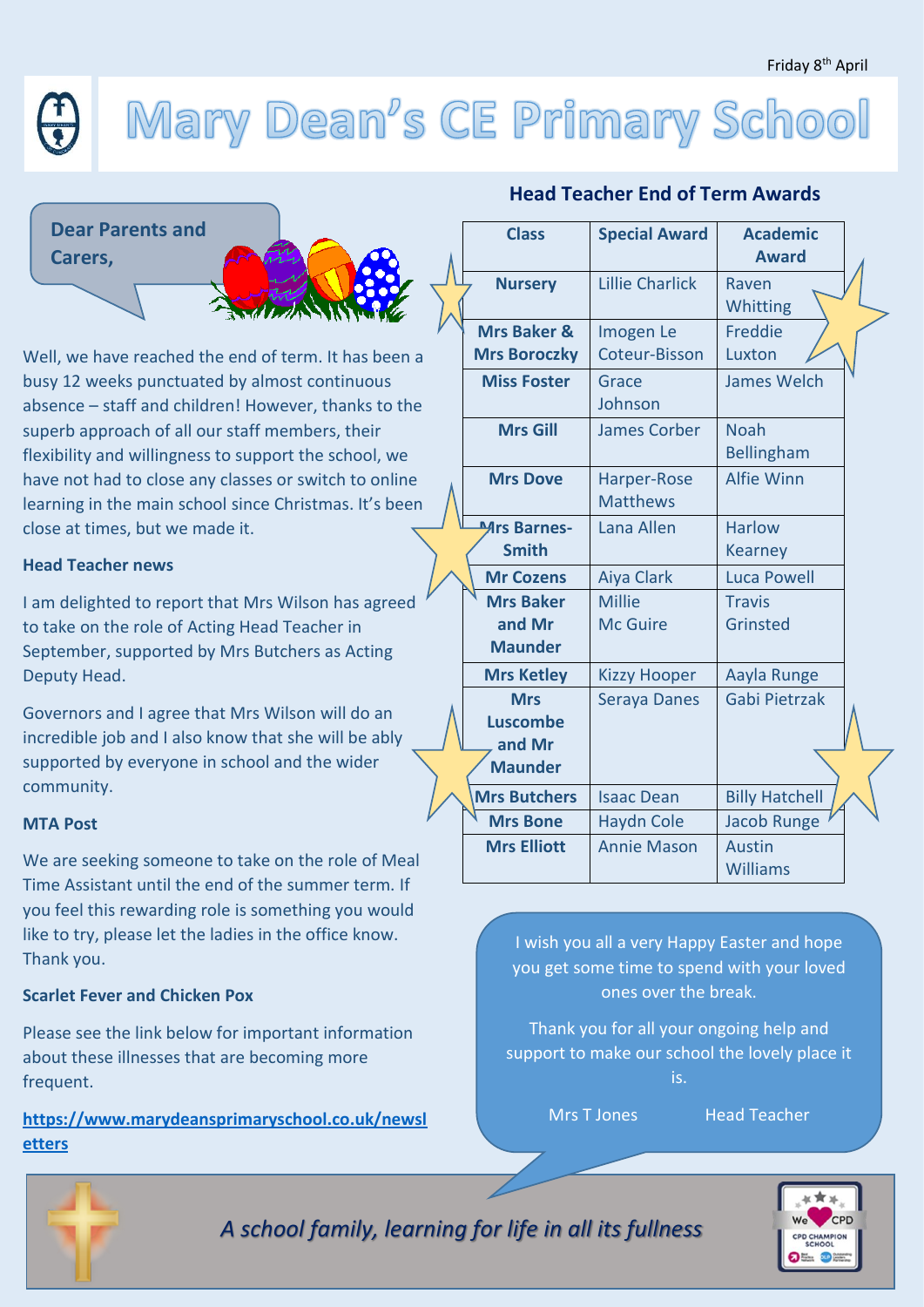# Mary Dean's CE Primary School

 **Carers, Dear Parents and** 



Well, we have reached the end of term. It has been a busy 12 weeks punctuated by almost continuous absence – staff and children! However, thanks to the superb approach of all our staff members, their flexibility and willingness to support the school, we have not had to close any classes or switch to online learning in the main school since Christmas. It's been close at times, but we made it.

#### **Head Teacher news**

I am delighted to report that Mrs Wilson has agreed to take on the role of Acting Head Teacher in September, supported by Mrs Butchers as Acting Deputy Head.

Governors and I agree that Mrs Wilson will do an incredible job and I also know that she will be ably supported by everyone in school and the wider community.

#### **MTA Post**

We are seeking someone to take on the role of Meal Time Assistant until the end of the summer term. If you feel this rewarding role is something you would like to try, please let the ladies in the office know. Thank you.

### **Scarlet Fever and Chicken Pox**

Please see the link below for important information about these illnesses that are becoming more frequent.

**[https://www.marydeansprimaryschool.co.uk/newsl](https://www.marydeansprimaryschool.co.uk/newsletters) [etters](https://www.marydeansprimaryschool.co.uk/newsletters)**

## **Head Teacher End of Term Awards**

| <b>Class</b>                                              | <b>Special Award</b>             | <b>Academic</b><br><b>Award</b>  |  |
|-----------------------------------------------------------|----------------------------------|----------------------------------|--|
| <b>Nursery</b>                                            | <b>Lillie Charlick</b>           | Raven<br>Whitting                |  |
| <b>Mrs Baker &amp;</b><br><b>Mrs Boroczky</b>             | Imogen Le<br>Coteur-Bisson       | Freddie<br>Luxton                |  |
| <b>Miss Foster</b>                                        | Grace<br>Johnson                 | <b>James Welch</b>               |  |
| <b>Mrs Gill</b>                                           | <b>James Corber</b>              | <b>Noah</b><br>Bellingham        |  |
| <b>Mrs Dove</b>                                           | Harper-Rose<br><b>Matthews</b>   | <b>Alfie Winn</b>                |  |
| <b>Mrs Barnes-</b><br><b>Smith</b>                        | Lana Allen                       | <b>Harlow</b><br><b>Kearney</b>  |  |
| <b>Mr Cozens</b>                                          | <b>Aiya Clark</b>                | <b>Luca Powell</b>               |  |
| <b>Mrs Baker</b><br>and Mr<br><b>Maunder</b>              | <b>Millie</b><br><b>Mc Guire</b> | <b>Travis</b><br>Grinsted        |  |
| <b>Mrs Ketley</b>                                         | <b>Kizzy Hooper</b>              | Aayla Runge                      |  |
| <b>Mrs</b><br><b>Luscombe</b><br>and Mr<br><b>Maunder</b> | Seraya Danes                     | Gabi Pietrzak                    |  |
| <b>Mrs Butchers</b>                                       | <b>Isaac Dean</b>                | <b>Billy Hatchell</b>            |  |
| <b>Mrs Bone</b>                                           | <b>Haydn Cole</b>                | <b>Jacob Runge</b>               |  |
| <b>Mrs Elliott</b>                                        | <b>Annie Mason</b>               | <b>Austin</b><br><b>Williams</b> |  |

I wish you all a very Happy Easter and hope you get some time to spend with your loved ones over the break.

Thank you for all your ongoing help and support to make our school the lovely place it is.

Mrs T Jones Head Teacher



*A school family, learning for life in all its fullness*